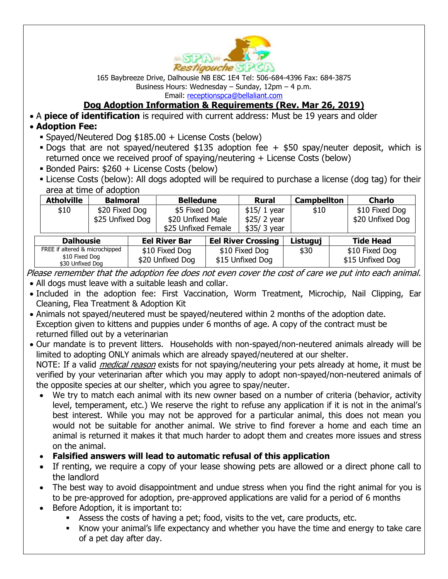

165 Baybreeze Drive, Dalhousie NB E8C 1E4 Tel: 506-684-4396 Fax: 684-3875 Business Hours: Wednesday – Sunday, 12pm – 4 p.m. Email: [receptionspca@bellaliant.com](mailto:restspca@nb.aibn.com)

**Dog Adoption Information & Requirements (Rev. Mar 26, 2019)**

• A **piece of identification** is required with current address: Must be 19 years and older

## • **Adoption Fee:**

- **Example 3** Spayed/Neutered Dog  $$185.00 +$  License Costs (below)
- **Dogs that are not spayed/neutered \$135 adoption fee + \$50 spay/neuter deposit, which is** returned once we received proof of spaying/neutering + License Costs (below)
- **Bonded Pairs: \$260 + License Costs (below)**
- License Costs (below): All dogs adopted will be required to purchase a license (dog tag) for their area at time of adoption

| <b>Atholville</b>                                                    |                  |                                    |                     |                                    |                           |                    |                  |                                    |
|----------------------------------------------------------------------|------------------|------------------------------------|---------------------|------------------------------------|---------------------------|--------------------|------------------|------------------------------------|
|                                                                      | <b>Balmoral</b>  |                                    | <b>Belledune</b>    |                                    | <b>Rural</b>              | <b>Campbellton</b> |                  | <b>Charlo</b>                      |
| \$10                                                                 | \$20 Fixed Dog   |                                    | \$5 Fixed Dog       |                                    | $$15/1$ year              | \$10               |                  | \$10 Fixed Dog                     |
|                                                                      | \$25 Unfixed Dog |                                    | \$20 Unfixed Male   |                                    | \$25/2 year               |                    |                  | \$20 Unfixed Dog                   |
|                                                                      |                  |                                    | \$25 Unfixed Female |                                    | \$35/ 3 year              |                    |                  |                                    |
| <b>Dalhousie</b>                                                     |                  | <b>Eel River Bar</b>               |                     |                                    | <b>Eel River Crossing</b> | Listuguj           | <b>Tide Head</b> |                                    |
| FREE if altered & microchipped<br>\$10 Fixed Dog<br>\$30 Unfixed Dog |                  | \$10 Fixed Dog<br>\$20 Unfixed Dog |                     | \$10 Fixed Dog<br>\$15 Unfixed Dog |                           | \$30               |                  | \$10 Fixed Dog<br>\$15 Unfixed Dog |

Please remember that the adoption fee does not even cover the cost of care we put into each animal. • All dogs must leave with a suitable leash and collar.

- Included in the adoption fee: First Vaccination, Worm Treatment, Microchip, Nail Clipping, Ear Cleaning, Flea Treatment & Adoption Kit
- Animals not spayed/neutered must be spayed/neutered within 2 months of the adoption date. Exception given to kittens and puppies under 6 months of age. A copy of the contract must be returned filled out by a veterinarian
- Our mandate is to prevent litters. Households with non-spayed/non-neutered animals already will be limited to adopting ONLY animals which are already spayed/neutered at our shelter. NOTE: If a valid *medical reason* exists for not spaying/neutering your pets already at home, it must be verified by your veterinarian after which you may apply to adopt non-spayed/non-neutered animals of

the opposite species at our shelter, which you agree to spay/neuter.

- We try to match each animal with its new owner based on a number of criteria (behavior, activity level, temperament, etc.) We reserve the right to refuse any application if it is not in the animal's best interest. While you may not be approved for a particular animal, this does not mean you would not be suitable for another animal. We strive to find forever a home and each time an animal is returned it makes it that much harder to adopt them and creates more issues and stress on the animal.
- **Falsified answers will lead to automatic refusal of this application**
- If renting, we require a copy of your lease showing pets are allowed or a direct phone call to the landlord
- The best way to avoid disappointment and undue stress when you find the right animal for you is to be pre-approved for adoption, pre-approved applications are valid for a period of 6 months
- Before Adoption, it is important to:
	- Assess the costs of having a pet; food, visits to the vet, care products, etc.
	- Know your animal's life expectancy and whether you have the time and energy to take care of a pet day after day.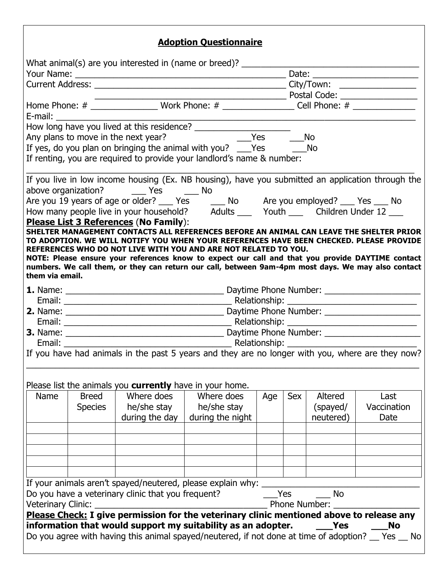## **Adoption Questionnaire**

|                    |                                                                                                                                                                                                                                |                                                                 | мораон фасоаоннан с                                                                                                                                                                                                                                                                                                                                                                                                                                            |     |            |                                  |                             |  |
|--------------------|--------------------------------------------------------------------------------------------------------------------------------------------------------------------------------------------------------------------------------|-----------------------------------------------------------------|----------------------------------------------------------------------------------------------------------------------------------------------------------------------------------------------------------------------------------------------------------------------------------------------------------------------------------------------------------------------------------------------------------------------------------------------------------------|-----|------------|----------------------------------|-----------------------------|--|
|                    |                                                                                                                                                                                                                                |                                                                 | What animal(s) are you interested in (name or breed)? ___________________________                                                                                                                                                                                                                                                                                                                                                                              |     |            |                                  |                             |  |
|                    |                                                                                                                                                                                                                                |                                                                 |                                                                                                                                                                                                                                                                                                                                                                                                                                                                |     |            |                                  |                             |  |
|                    |                                                                                                                                                                                                                                |                                                                 |                                                                                                                                                                                                                                                                                                                                                                                                                                                                |     |            |                                  |                             |  |
|                    |                                                                                                                                                                                                                                |                                                                 |                                                                                                                                                                                                                                                                                                                                                                                                                                                                |     |            |                                  |                             |  |
|                    | E-mail: E-mail: E-mail: E-mail: E-mail: E-mail: E-mail: E-mail: E-mail: E-mail: E-mail: E-mail: E-mail: E-mail: E-mail: E-mail: E-mail: E-mail: E-mail: E-mail: E-mail: E-mail: E-mail: E-mail: E-mail: E-mail: E-mail: E-mail |                                                                 |                                                                                                                                                                                                                                                                                                                                                                                                                                                                |     |            |                                  |                             |  |
|                    |                                                                                                                                                                                                                                |                                                                 |                                                                                                                                                                                                                                                                                                                                                                                                                                                                |     |            |                                  |                             |  |
|                    |                                                                                                                                                                                                                                |                                                                 | Any plans to move in the next year? The manufactured metal of the Messang Messang Messang Messang Messang Mess                                                                                                                                                                                                                                                                                                                                                 |     | <b>No</b>  |                                  |                             |  |
|                    |                                                                                                                                                                                                                                |                                                                 |                                                                                                                                                                                                                                                                                                                                                                                                                                                                |     |            |                                  |                             |  |
|                    |                                                                                                                                                                                                                                |                                                                 | If yes, do you plan on bringing the animal with you? ___Yes _________No<br>If renting, you are required to provide your landlord's name & number:                                                                                                                                                                                                                                                                                                              |     |            |                                  |                             |  |
|                    |                                                                                                                                                                                                                                | above organization? _______ Yes _______ No                      | If you live in low income housing (Ex. NB housing), have you submitted an application through the                                                                                                                                                                                                                                                                                                                                                              |     |            |                                  |                             |  |
|                    |                                                                                                                                                                                                                                |                                                                 | Are you 19 years of age or older? $\frac{1}{2}$ Yes $\frac{1}{2}$ No Are you employed? $\frac{1}{2}$ Yes $\frac{1}{2}$ No<br>How many people live in your household? Adults $\frac{1}{2}$ Youth $\frac{1}{2}$ Children Under 12                                                                                                                                                                                                                                |     |            |                                  |                             |  |
|                    |                                                                                                                                                                                                                                | Please List 3 References (No Family):                           |                                                                                                                                                                                                                                                                                                                                                                                                                                                                |     |            |                                  |                             |  |
| them via email.    |                                                                                                                                                                                                                                |                                                                 | SHELTER MANAGEMENT CONTACTS ALL REFERENCES BEFORE AN ANIMAL CAN LEAVE THE SHELTER PRIOR<br>TO ADOPTION. WE WILL NOTIFY YOU WHEN YOUR REFERENCES HAVE BEEN CHECKED. PLEASE PROVIDE<br>REFERENCES WHO DO NOT LIVE WITH YOU AND ARE NOT RELATED TO YOU.<br>NOTE: Please ensure your references know to expect our call and that you provide DAYTIME contact<br>numbers. We call them, or they can return our call, between 9am-4pm most days. We may also contact |     |            |                                  |                             |  |
|                    |                                                                                                                                                                                                                                |                                                                 |                                                                                                                                                                                                                                                                                                                                                                                                                                                                |     |            |                                  |                             |  |
|                    |                                                                                                                                                                                                                                |                                                                 |                                                                                                                                                                                                                                                                                                                                                                                                                                                                |     |            |                                  |                             |  |
|                    |                                                                                                                                                                                                                                |                                                                 |                                                                                                                                                                                                                                                                                                                                                                                                                                                                |     |            |                                  |                             |  |
|                    |                                                                                                                                                                                                                                |                                                                 |                                                                                                                                                                                                                                                                                                                                                                                                                                                                |     |            |                                  |                             |  |
|                    |                                                                                                                                                                                                                                |                                                                 |                                                                                                                                                                                                                                                                                                                                                                                                                                                                |     |            |                                  |                             |  |
|                    |                                                                                                                                                                                                                                |                                                                 |                                                                                                                                                                                                                                                                                                                                                                                                                                                                |     |            |                                  |                             |  |
|                    |                                                                                                                                                                                                                                |                                                                 | If you have had animals in the past 5 years and they are no longer with you, where are they now?                                                                                                                                                                                                                                                                                                                                                               |     |            |                                  |                             |  |
|                    |                                                                                                                                                                                                                                | Please list the animals you <b>currently</b> have in your home. |                                                                                                                                                                                                                                                                                                                                                                                                                                                                |     |            |                                  |                             |  |
| Name               | <b>Breed</b><br><b>Species</b>                                                                                                                                                                                                 | Where does<br>he/she stay<br>during the day                     | Where does<br>he/she stay<br>during the night                                                                                                                                                                                                                                                                                                                                                                                                                  | Age | Sex        | Altered<br>(spayed/<br>neutered) | Last<br>Vaccination<br>Date |  |
|                    |                                                                                                                                                                                                                                |                                                                 |                                                                                                                                                                                                                                                                                                                                                                                                                                                                |     |            |                                  |                             |  |
|                    |                                                                                                                                                                                                                                |                                                                 |                                                                                                                                                                                                                                                                                                                                                                                                                                                                |     |            |                                  |                             |  |
|                    |                                                                                                                                                                                                                                |                                                                 | If your animals aren't spayed/neutered, please explain why:                                                                                                                                                                                                                                                                                                                                                                                                    |     |            |                                  |                             |  |
|                    |                                                                                                                                                                                                                                | Do you have a veterinary clinic that you frequent?              |                                                                                                                                                                                                                                                                                                                                                                                                                                                                |     | <b>Yes</b> | <b>No</b>                        |                             |  |
| Veterinary Clinic: |                                                                                                                                                                                                                                | <u> 1989 - Johann Barbara, martxa alemaniar a</u>               |                                                                                                                                                                                                                                                                                                                                                                                                                                                                |     |            | Phone Number:                    |                             |  |
|                    |                                                                                                                                                                                                                                |                                                                 | Please Check: I give permission for the veterinary clinic mentioned above to release any<br>information that would support my suitability as an adopter.                                                                                                                                                                                                                                                                                                       |     |            | Yes                              | <b>No</b>                   |  |
|                    |                                                                                                                                                                                                                                |                                                                 | Do you agree with having this animal spayed/neutered, if not done at time of adoption? __ Yes __ No                                                                                                                                                                                                                                                                                                                                                            |     |            |                                  |                             |  |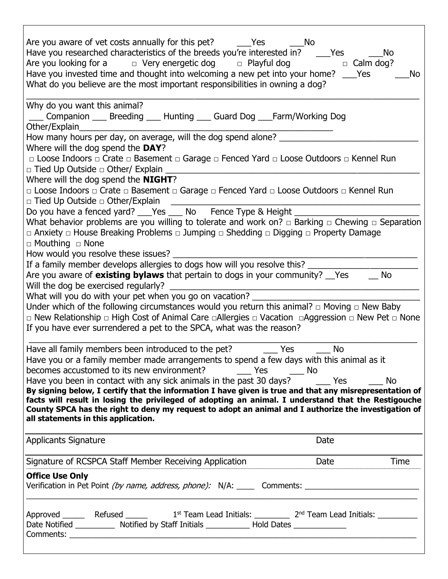| Are you aware of vet costs annually for this pet? ______Yes<br><b>No</b><br>Have you researched characteristics of the breeds you're interested in? ____Yes<br><b>No</b><br>Are you looking for a $\Box$ Very energetic dog $\Box$ Playful dog $\Box$ Calm dog?<br>Have you invested time and thought into welcoming a new pet into your home? ___ Yes<br>No<br>What do you believe are the most important responsibilities in owning a dog?                                                                                             |
|------------------------------------------------------------------------------------------------------------------------------------------------------------------------------------------------------------------------------------------------------------------------------------------------------------------------------------------------------------------------------------------------------------------------------------------------------------------------------------------------------------------------------------------|
| Why do you want this animal?<br>___ Companion ___ Breeding ___ Hunting ___ Guard Dog ___ Farm/Working Dog                                                                                                                                                                                                                                                                                                                                                                                                                                |
| How many hours per day, on average, will the dog spend alone? __________________<br>Where will the dog spend the DAY?<br>□ Loose Indoors □ Crate □ Basement □ Garage □ Fenced Yard □ Loose Outdoors □ Kennel Run<br>□ Tied Up Outside □ Other/ Explain<br>Where will the dog spend the <b>NIGHT</b> ?                                                                                                                                                                                                                                    |
| □ Loose Indoors □ Crate □ Basement □ Garage □ Fenced Yard □ Loose Outdoors □ Kennel Run<br>□ Tied Up Outside □ Other/Explain                                                                                                                                                                                                                                                                                                                                                                                                             |
| Do you have a fenced yard? ___ Yes ___ No Fence Type & Height _____<br>What behavior problems are you willing to tolerate and work on? $\Box$ Barking $\Box$ Chewing $\Box$ Separation<br>□ Anxiety □ House Breaking Problems □ Jumping □ Shedding □ Digging □ Property Damage<br>$\Box$ Mouthing $\Box$ None<br>How would you resolve these issues? ____<br>If a family member develops allergies to dogs how will you resolve this?<br>Are you aware of <b>existing bylaws</b> that pertain to dogs in your community? __Yes ___<br>No |
| What will you do with your pet when you go on vacation?<br>Under which of the following circumstances would you return this animal? $\Box$ Moving $\Box$ New Baby<br>$\Box$ New Relationship $\Box$ High Cost of Animal Care $\Box$ Allergies $\Box$ Vacation $\Box$ Aggression $\Box$ New Pet $\Box$ None<br>If you have ever surrendered a pet to the SPCA, what was the reason?                                                                                                                                                       |
| Have all family members been introduced to the pet?<br>Yes<br><b>No</b><br>Have you or a family member made arrangements to spend a few days with this animal as it                                                                                                                                                                                                                                                                                                                                                                      |
| Have you been in contact with any sick animals in the past 30 days? The Mes<br>No<br>By signing below, I certify that the information I have given is true and that any misrepresentation of<br>facts will result in losing the privileged of adopting an animal. I understand that the Restigouche<br>County SPCA has the right to deny my request to adopt an animal and I authorize the investigation of<br>all statements in this application.                                                                                       |
| Date<br><b>Applicants Signature</b>                                                                                                                                                                                                                                                                                                                                                                                                                                                                                                      |
| Date Time<br>Signature of RCSPCA Staff Member Receiving Application<br>Signature of RCSPCA Staff Member Receiving Application                                                                                                                                                                                                                                                                                                                                                                                                            |
| <b>Office Use Only</b><br>Verification in Pet Point <i>(by name, address, phone):</i> N/A: ______ Comments: ___________________________________                                                                                                                                                                                                                                                                                                                                                                                          |
| Date Notified ____________ Notified by Staff Initials _____________ Hold Dates ______________                                                                                                                                                                                                                                                                                                                                                                                                                                            |